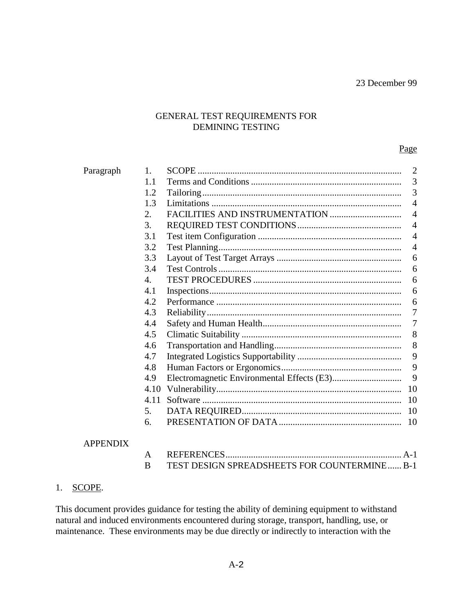## GENERAL TEST REQUIREMENTS FOR DEMINING TESTING

#### Page

| Paragraph       | 1.               |                                              | $\overline{2}$ |
|-----------------|------------------|----------------------------------------------|----------------|
|                 | 1.1              |                                              | 3              |
|                 | 1.2              |                                              | 3              |
|                 | 1.3              |                                              | $\overline{4}$ |
|                 | 2.               |                                              | $\overline{4}$ |
|                 | 3.               |                                              | $\overline{4}$ |
|                 | 3.1              |                                              | $\overline{4}$ |
|                 | 3.2              |                                              | $\overline{4}$ |
|                 | 3.3              |                                              | 6              |
|                 | 3.4              |                                              | 6              |
|                 | $\overline{4}$ . |                                              | 6              |
|                 | 4.1              |                                              | 6              |
|                 | 4.2              |                                              | 6              |
|                 | 4.3              |                                              | 7              |
|                 | 4.4              |                                              | 7              |
|                 | 4.5              |                                              | 8              |
|                 | 4.6              |                                              | 8              |
|                 | 4.7              |                                              | 9              |
|                 | 4.8              |                                              | 9              |
|                 | 4.9              |                                              | 9              |
|                 | 4.10             |                                              | 10             |
|                 | 4.11             |                                              | 10             |
|                 | 5.               |                                              | 10             |
|                 | 6.               |                                              | 10             |
| <b>APPENDIX</b> |                  |                                              |                |
|                 | A                |                                              | $A-1$          |
|                 | B                | TEST DESIGN SPREADSHEETS FOR COUNTERMINE B-1 |                |

#### 1. SCOPE.

This document provides guidance for testing the ability of demining equipment to withstand natural and induced environments encountered during storage, transport, handling, use, or maintenance. These environments may be due directly or indirectly to interaction with the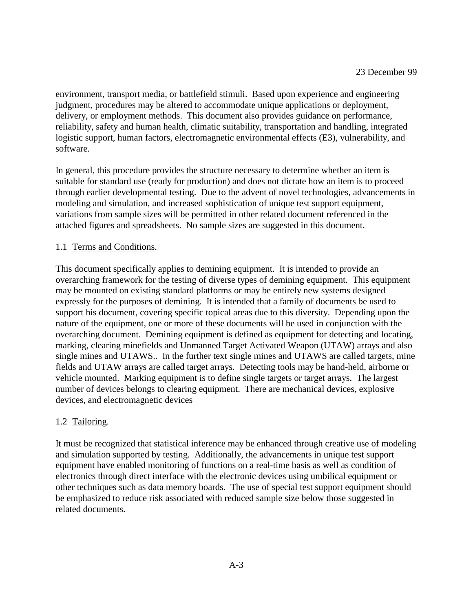environment, transport media, or battlefield stimuli. Based upon experience and engineering judgment, procedures may be altered to accommodate unique applications or deployment, delivery, or employment methods. This document also provides guidance on performance, reliability, safety and human health, climatic suitability, transportation and handling, integrated logistic support, human factors, electromagnetic environmental effects (E3), vulnerability, and software.

In general, this procedure provides the structure necessary to determine whether an item is suitable for standard use (ready for production) and does not dictate how an item is to proceed through earlier developmental testing. Due to the advent of novel technologies, advancements in modeling and simulation, and increased sophistication of unique test support equipment, variations from sample sizes will be permitted in other related document referenced in the attached figures and spreadsheets. No sample sizes are suggested in this document.

#### 1.1 Terms and Conditions.

This document specifically applies to demining equipment. It is intended to provide an overarching framework for the testing of diverse types of demining equipment. This equipment may be mounted on existing standard platforms or may be entirely new systems designed expressly for the purposes of demining. It is intended that a family of documents be used to support his document, covering specific topical areas due to this diversity. Depending upon the nature of the equipment, one or more of these documents will be used in conjunction with the overarching document. Demining equipment is defined as equipment for detecting and locating, marking, clearing minefields and Unmanned Target Activated Weapon (UTAW) arrays and also single mines and UTAWS.. In the further text single mines and UTAWS are called targets, mine fields and UTAW arrays are called target arrays. Detecting tools may be hand-held, airborne or vehicle mounted. Marking equipment is to define single targets or target arrays. The largest number of devices belongs to clearing equipment. There are mechanical devices, explosive devices, and electromagnetic devices

#### 1.2 Tailoring.

It must be recognized that statistical inference may be enhanced through creative use of modeling and simulation supported by testing. Additionally, the advancements in unique test support equipment have enabled monitoring of functions on a real-time basis as well as condition of electronics through direct interface with the electronic devices using umbilical equipment or other techniques such as data memory boards. The use of special test support equipment should be emphasized to reduce risk associated with reduced sample size below those suggested in related documents.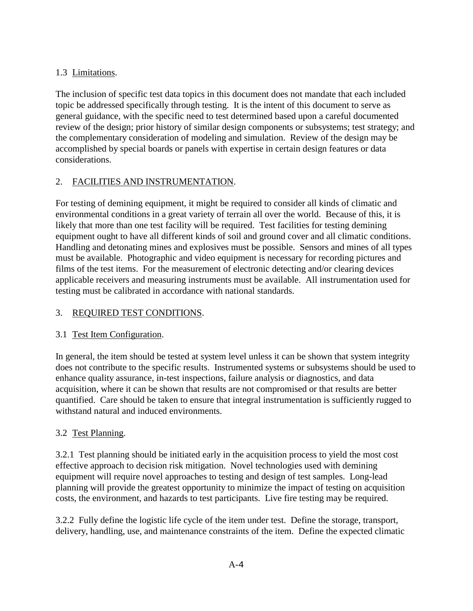# 1.3 Limitations.

The inclusion of specific test data topics in this document does not mandate that each included topic be addressed specifically through testing. It is the intent of this document to serve as general guidance, with the specific need to test determined based upon a careful documented review of the design; prior history of similar design components or subsystems; test strategy; and the complementary consideration of modeling and simulation. Review of the design may be accomplished by special boards or panels with expertise in certain design features or data considerations.

# 2. FACILITIES AND INSTRUMENTATION.

For testing of demining equipment, it might be required to consider all kinds of climatic and environmental conditions in a great variety of terrain all over the world. Because of this, it is likely that more than one test facility will be required. Test facilities for testing demining equipment ought to have all different kinds of soil and ground cover and all climatic conditions. Handling and detonating mines and explosives must be possible. Sensors and mines of all types must be available. Photographic and video equipment is necessary for recording pictures and films of the test items. For the measurement of electronic detecting and/or clearing devices applicable receivers and measuring instruments must be available. All instrumentation used for testing must be calibrated in accordance with national standards.

# 3. REQUIRED TEST CONDITIONS.

# 3.1 Test Item Configuration.

In general, the item should be tested at system level unless it can be shown that system integrity does not contribute to the specific results. Instrumented systems or subsystems should be used to enhance quality assurance, in-test inspections, failure analysis or diagnostics, and data acquisition, where it can be shown that results are not compromised or that results are better quantified. Care should be taken to ensure that integral instrumentation is sufficiently rugged to withstand natural and induced environments.

# 3.2 Test Planning.

3.2.1 Test planning should be initiated early in the acquisition process to yield the most cost effective approach to decision risk mitigation. Novel technologies used with demining equipment will require novel approaches to testing and design of test samples. Long-lead planning will provide the greatest opportunity to minimize the impact of testing on acquisition costs, the environment, and hazards to test participants. Live fire testing may be required.

3.2.2 Fully define the logistic life cycle of the item under test. Define the storage, transport, delivery, handling, use, and maintenance constraints of the item. Define the expected climatic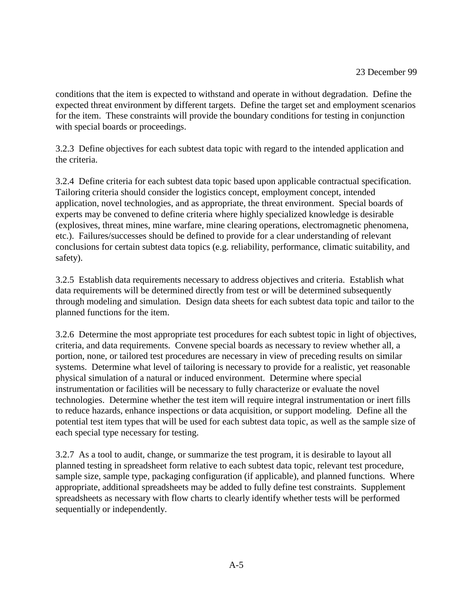conditions that the item is expected to withstand and operate in without degradation. Define the expected threat environment by different targets. Define the target set and employment scenarios for the item. These constraints will provide the boundary conditions for testing in conjunction with special boards or proceedings.

3.2.3 Define objectives for each subtest data topic with regard to the intended application and the criteria.

3.2.4 Define criteria for each subtest data topic based upon applicable contractual specification. Tailoring criteria should consider the logistics concept, employment concept, intended application, novel technologies, and as appropriate, the threat environment. Special boards of experts may be convened to define criteria where highly specialized knowledge is desirable (explosives, threat mines, mine warfare, mine clearing operations, electromagnetic phenomena, etc.). Failures/successes should be defined to provide for a clear understanding of relevant conclusions for certain subtest data topics (e.g. reliability, performance, climatic suitability, and safety).

3.2.5 Establish data requirements necessary to address objectives and criteria. Establish what data requirements will be determined directly from test or will be determined subsequently through modeling and simulation. Design data sheets for each subtest data topic and tailor to the planned functions for the item.

3.2.6 Determine the most appropriate test procedures for each subtest topic in light of objectives, criteria, and data requirements. Convene special boards as necessary to review whether all, a portion, none, or tailored test procedures are necessary in view of preceding results on similar systems. Determine what level of tailoring is necessary to provide for a realistic, yet reasonable physical simulation of a natural or induced environment. Determine where special instrumentation or facilities will be necessary to fully characterize or evaluate the novel technologies. Determine whether the test item will require integral instrumentation or inert fills to reduce hazards, enhance inspections or data acquisition, or support modeling. Define all the potential test item types that will be used for each subtest data topic, as well as the sample size of each special type necessary for testing.

3.2.7 As a tool to audit, change, or summarize the test program, it is desirable to layout all planned testing in spreadsheet form relative to each subtest data topic, relevant test procedure, sample size, sample type, packaging configuration (if applicable), and planned functions. Where appropriate, additional spreadsheets may be added to fully define test constraints. Supplement spreadsheets as necessary with flow charts to clearly identify whether tests will be performed sequentially or independently.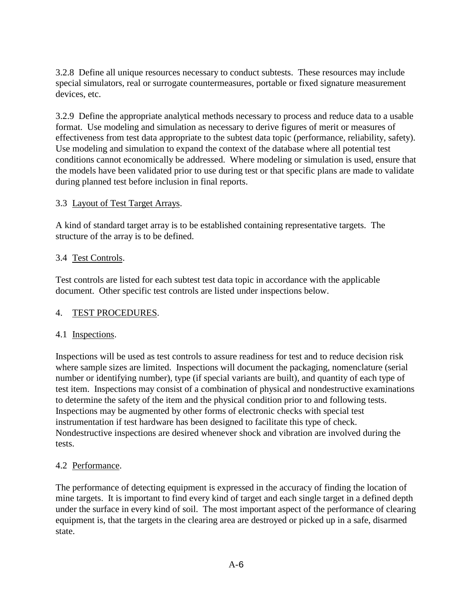3.2.8 Define all unique resources necessary to conduct subtests. These resources may include special simulators, real or surrogate countermeasures, portable or fixed signature measurement devices, etc.

3.2.9 Define the appropriate analytical methods necessary to process and reduce data to a usable format. Use modeling and simulation as necessary to derive figures of merit or measures of effectiveness from test data appropriate to the subtest data topic (performance, reliability, safety). Use modeling and simulation to expand the context of the database where all potential test conditions cannot economically be addressed. Where modeling or simulation is used, ensure that the models have been validated prior to use during test or that specific plans are made to validate during planned test before inclusion in final reports.

### 3.3 Layout of Test Target Arrays.

A kind of standard target array is to be established containing representative targets. The structure of the array is to be defined.

#### 3.4 Test Controls.

Test controls are listed for each subtest test data topic in accordance with the applicable document. Other specific test controls are listed under inspections below.

### 4. TEST PROCEDURES.

#### 4.1 Inspections.

Inspections will be used as test controls to assure readiness for test and to reduce decision risk where sample sizes are limited. Inspections will document the packaging, nomenclature (serial number or identifying number), type (if special variants are built), and quantity of each type of test item. Inspections may consist of a combination of physical and nondestructive examinations to determine the safety of the item and the physical condition prior to and following tests. Inspections may be augmented by other forms of electronic checks with special test instrumentation if test hardware has been designed to facilitate this type of check. Nondestructive inspections are desired whenever shock and vibration are involved during the tests.

### 4.2 Performance.

The performance of detecting equipment is expressed in the accuracy of finding the location of mine targets. It is important to find every kind of target and each single target in a defined depth under the surface in every kind of soil. The most important aspect of the performance of clearing equipment is, that the targets in the clearing area are destroyed or picked up in a safe, disarmed state.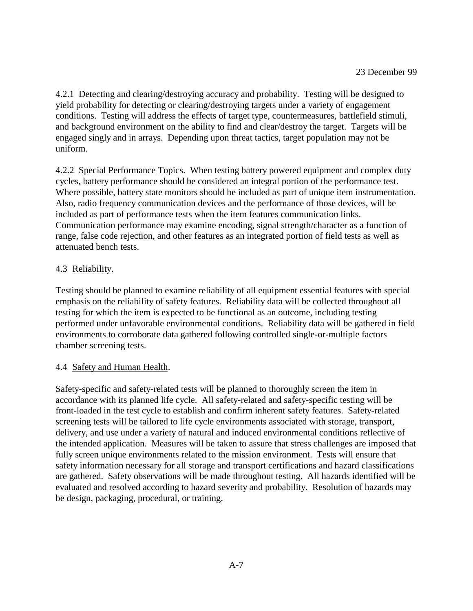4.2.1 Detecting and clearing/destroying accuracy and probability. Testing will be designed to yield probability for detecting or clearing/destroying targets under a variety of engagement conditions. Testing will address the effects of target type, countermeasures, battlefield stimuli, and background environment on the ability to find and clear/destroy the target. Targets will be engaged singly and in arrays. Depending upon threat tactics, target population may not be uniform.

4.2.2 Special Performance Topics. When testing battery powered equipment and complex duty cycles, battery performance should be considered an integral portion of the performance test. Where possible, battery state monitors should be included as part of unique item instrumentation. Also, radio frequency communication devices and the performance of those devices, will be included as part of performance tests when the item features communication links. Communication performance may examine encoding, signal strength/character as a function of range, false code rejection, and other features as an integrated portion of field tests as well as attenuated bench tests.

## 4.3 Reliability.

Testing should be planned to examine reliability of all equipment essential features with special emphasis on the reliability of safety features. Reliability data will be collected throughout all testing for which the item is expected to be functional as an outcome, including testing performed under unfavorable environmental conditions. Reliability data will be gathered in field environments to corroborate data gathered following controlled single-or-multiple factors chamber screening tests.

### 4.4 Safety and Human Health.

Safety-specific and safety-related tests will be planned to thoroughly screen the item in accordance with its planned life cycle. All safety-related and safety-specific testing will be front-loaded in the test cycle to establish and confirm inherent safety features. Safety-related screening tests will be tailored to life cycle environments associated with storage, transport, delivery, and use under a variety of natural and induced environmental conditions reflective of the intended application. Measures will be taken to assure that stress challenges are imposed that fully screen unique environments related to the mission environment. Tests will ensure that safety information necessary for all storage and transport certifications and hazard classifications are gathered. Safety observations will be made throughout testing. All hazards identified will be evaluated and resolved according to hazard severity and probability. Resolution of hazards may be design, packaging, procedural, or training.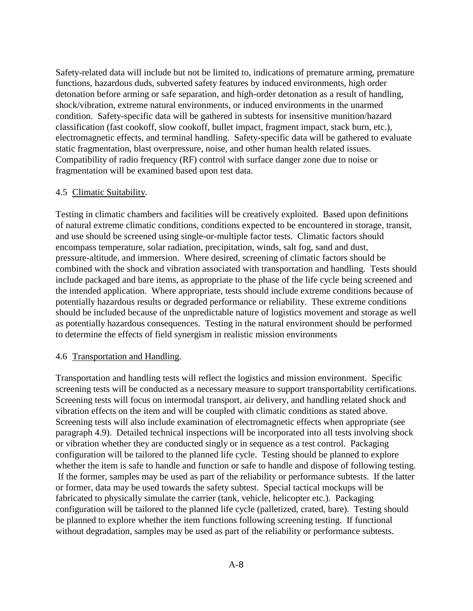Safety-related data will include but not be limited to, indications of premature arming, premature functions, hazardous duds, subverted safety features by induced environments, high order detonation before arming or safe separation, and high-order detonation as a result of handling, shock/vibration, extreme natural environments, or induced environments in the unarmed condition. Safety-specific data will be gathered in subtests for insensitive munition/hazard classification (fast cookoff, slow cookoff, bullet impact, fragment impact, stack burn, etc.), electromagnetic effects, and terminal handling. Safety-specific data will be gathered to evaluate static fragmentation, blast overpressure, noise, and other human health related issues. Compatibility of radio frequency (RF) control with surface danger zone due to noise or fragmentation will be examined based upon test data.

#### 4.5 Climatic Suitability.

Testing in climatic chambers and facilities will be creatively exploited. Based upon definitions of natural extreme climatic conditions, conditions expected to be encountered in storage, transit, and use should be screened using single-or-multiple factor tests. Climatic factors should encompass temperature, solar radiation, precipitation, winds, salt fog, sand and dust, pressure-altitude, and immersion. Where desired, screening of climatic factors should be combined with the shock and vibration associated with transportation and handling. Tests should include packaged and bare items, as appropriate to the phase of the life cycle being screened and the intended application. Where appropriate, tests should include extreme conditions because of potentially hazardous results or degraded performance or reliability. These extreme conditions should be included because of the unpredictable nature of logistics movement and storage as well as potentially hazardous consequences. Testing in the natural environment should be performed to determine the effects of field synergism in realistic mission environments

#### 4.6 Transportation and Handling.

Transportation and handling tests will reflect the logistics and mission environment. Specific screening tests will be conducted as a necessary measure to support transportability certifications. Screening tests will focus on intermodal transport, air delivery, and handling related shock and vibration effects on the item and will be coupled with climatic conditions as stated above. Screening tests will also include examination of electromagnetic effects when appropriate (see paragraph 4.9). Detailed technical inspections will be incorporated into all tests involving shock or vibration whether they are conducted singly or in sequence as a test control. Packaging configuration will be tailored to the planned life cycle. Testing should be planned to explore whether the item is safe to handle and function or safe to handle and dispose of following testing. If the former, samples may be used as part of the reliability or performance subtests. If the latter or former, data may be used towards the safety subtest. Special tactical mockups will be fabricated to physically simulate the carrier (tank, vehicle, helicopter etc.). Packaging configuration will be tailored to the planned life cycle (palletized, crated, bare). Testing should be planned to explore whether the item functions following screening testing. If functional without degradation, samples may be used as part of the reliability or performance subtests.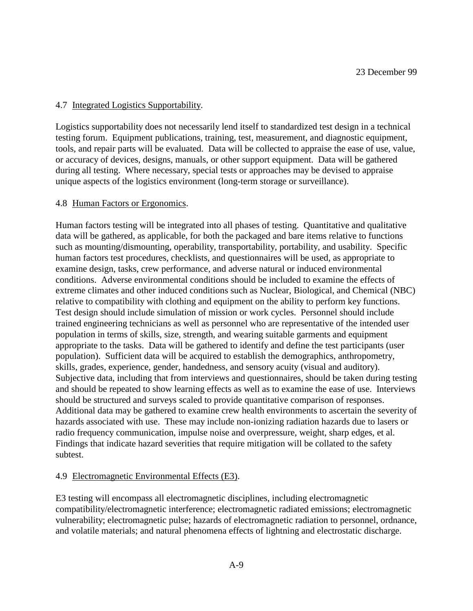#### 4.7 Integrated Logistics Supportability.

Logistics supportability does not necessarily lend itself to standardized test design in a technical testing forum. Equipment publications, training, test, measurement, and diagnostic equipment, tools, and repair parts will be evaluated. Data will be collected to appraise the ease of use, value, or accuracy of devices, designs, manuals, or other support equipment. Data will be gathered during all testing. Where necessary, special tests or approaches may be devised to appraise unique aspects of the logistics environment (long-term storage or surveillance).

#### 4.8 Human Factors or Ergonomics.

Human factors testing will be integrated into all phases of testing. Quantitative and qualitative data will be gathered, as applicable, for both the packaged and bare items relative to functions such as mounting/dismounting, operability, transportability, portability, and usability. Specific human factors test procedures, checklists, and questionnaires will be used, as appropriate to examine design, tasks, crew performance, and adverse natural or induced environmental conditions. Adverse environmental conditions should be included to examine the effects of extreme climates and other induced conditions such as Nuclear, Biological, and Chemical (NBC) relative to compatibility with clothing and equipment on the ability to perform key functions. Test design should include simulation of mission or work cycles. Personnel should include trained engineering technicians as well as personnel who are representative of the intended user population in terms of skills, size, strength, and wearing suitable garments and equipment appropriate to the tasks. Data will be gathered to identify and define the test participants (user population). Sufficient data will be acquired to establish the demographics, anthropometry, skills, grades, experience, gender, handedness, and sensory acuity (visual and auditory). Subjective data, including that from interviews and questionnaires, should be taken during testing and should be repeated to show learning effects as well as to examine the ease of use. Interviews should be structured and surveys scaled to provide quantitative comparison of responses. Additional data may be gathered to examine crew health environments to ascertain the severity of hazards associated with use. These may include non-ionizing radiation hazards due to lasers or radio frequency communication, impulse noise and overpressure, weight, sharp edges, et al. Findings that indicate hazard severities that require mitigation will be collated to the safety subtest.

### 4.9 Electromagnetic Environmental Effects (E3).

E3 testing will encompass all electromagnetic disciplines, including electromagnetic compatibility/electromagnetic interference; electromagnetic radiated emissions; electromagnetic vulnerability; electromagnetic pulse; hazards of electromagnetic radiation to personnel, ordnance, and volatile materials; and natural phenomena effects of lightning and electrostatic discharge.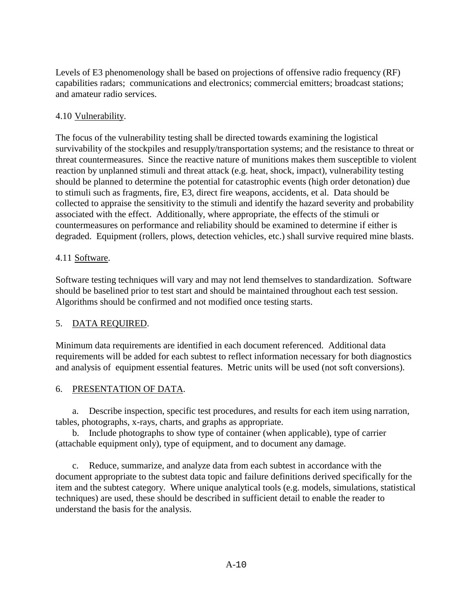Levels of E3 phenomenology shall be based on projections of offensive radio frequency (RF) capabilities radars; communications and electronics; commercial emitters; broadcast stations; and amateur radio services.

# 4.10 Vulnerability.

The focus of the vulnerability testing shall be directed towards examining the logistical survivability of the stockpiles and resupply/transportation systems; and the resistance to threat or threat countermeasures. Since the reactive nature of munitions makes them susceptible to violent reaction by unplanned stimuli and threat attack (e.g. heat, shock, impact), vulnerability testing should be planned to determine the potential for catastrophic events (high order detonation) due to stimuli such as fragments, fire, E3, direct fire weapons, accidents, et al. Data should be collected to appraise the sensitivity to the stimuli and identify the hazard severity and probability associated with the effect. Additionally, where appropriate, the effects of the stimuli or countermeasures on performance and reliability should be examined to determine if either is degraded. Equipment (rollers, plows, detection vehicles, etc.) shall survive required mine blasts.

### 4.11 Software.

Software testing techniques will vary and may not lend themselves to standardization. Software should be baselined prior to test start and should be maintained throughout each test session. Algorithms should be confirmed and not modified once testing starts.

# 5. DATA REQUIRED.

Minimum data requirements are identified in each document referenced. Additional data requirements will be added for each subtest to reflect information necessary for both diagnostics and analysis of equipment essential features. Metric units will be used (not soft conversions).

### 6. PRESENTATION OF DATA.

a. Describe inspection, specific test procedures, and results for each item using narration, tables, photographs, x-rays, charts, and graphs as appropriate.

b. Include photographs to show type of container (when applicable), type of carrier (attachable equipment only), type of equipment, and to document any damage.

c. Reduce, summarize, and analyze data from each subtest in accordance with the document appropriate to the subtest data topic and failure definitions derived specifically for the item and the subtest category. Where unique analytical tools (e.g. models, simulations, statistical techniques) are used, these should be described in sufficient detail to enable the reader to understand the basis for the analysis.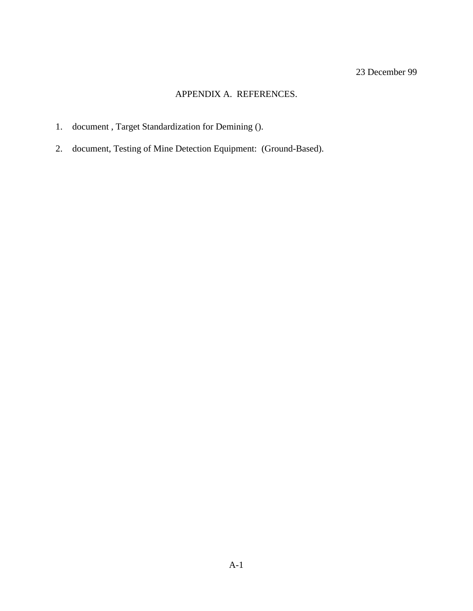# APPENDIX A. REFERENCES.

- 1. document , Target Standardization for Demining ().
- 2. document, Testing of Mine Detection Equipment: (Ground-Based).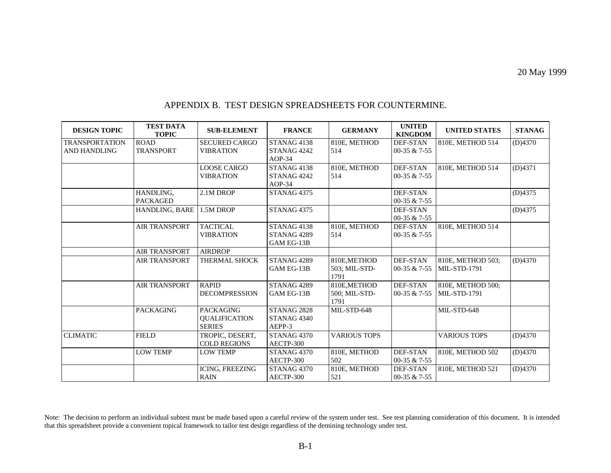| <b>DESIGN TOPIC</b>                          | <b>TEST DATA</b><br><b>TOPIC</b> | <b>SUB-ELEMENT</b>                                        | <b>FRANCE</b>                                                  | <b>GERMANY</b>                        | <b>UNITED</b><br><b>KINGDOM</b>   | <b>UNITED STATES</b>                     | <b>STANAG</b> |
|----------------------------------------------|----------------------------------|-----------------------------------------------------------|----------------------------------------------------------------|---------------------------------------|-----------------------------------|------------------------------------------|---------------|
| <b>TRANSPORTATION</b><br><b>AND HANDLING</b> | <b>ROAD</b><br><b>TRANSPORT</b>  | <b>SECURED CARGO</b><br><b>VIBRATION</b>                  | STANAG4138<br>STANAG <sub>4242</sub><br>$AOP-34$               | 810E, METHOD<br>514                   | DEF-STAN<br>00-35 & 7-55          | 810E, METHOD 514                         | (D)4370       |
|                                              |                                  | <b>LOOSE CARGO</b><br><b>VIBRATION</b>                    | STANAG4138<br>STANAG 4242<br>$AOP-34$                          | 810E, METHOD<br>514                   | <b>DEF-STAN</b><br>00-35 & $7-55$ | 810E, METHOD 514                         | (D)4371       |
|                                              | HANDLING,<br><b>PACKAGED</b>     | 2.1M DROP                                                 | STANAG 4375                                                    |                                       | <b>DEF-STAN</b><br>00-35 & 7-55   |                                          | (D)4375       |
|                                              | HANDLING, BARE                   | 1.5M DROP                                                 | STANAG 4375                                                    |                                       | DEF-STAN<br>00-35 & 7-55          |                                          | (D)4375       |
|                                              | <b>AIR TRANSPORT</b>             | <b>TACTICAL</b><br><b>VIBRATION</b>                       | STANAG <sub>4138</sub><br>STANAG <sub>4289</sub><br>GAM EG-13B | 810E, METHOD<br>514                   | DEF-STAN<br>00-35 & 7-55          | 810E, METHOD 514                         |               |
|                                              | <b>AIR TRANSPORT</b>             | <b>AIRDROP</b>                                            |                                                                |                                       |                                   |                                          |               |
|                                              | <b>AIR TRANSPORT</b>             | THERMAL SHOCK                                             | STANAG <sub>4289</sub><br>GAM EG-13B                           | 810E, METHOD<br>503; MIL-STD-<br>1791 | <b>DEF-STAN</b><br>00-35 & $7-55$ | 810E, METHOD 503;<br><b>MIL-STD-1791</b> | (D)4370       |
|                                              | <b>AIR TRANSPORT</b>             | <b>RAPID</b><br><b>DECOMPRESSION</b>                      | STANAG 4289<br>GAM EG-13B                                      | 810E, METHOD<br>500; MIL-STD-<br>1791 | <b>DEF-STAN</b><br>00-35 & $7-55$ | 810E, METHOD 500;<br>MIL-STD-1791        |               |
|                                              | <b>PACKAGING</b>                 | <b>PACKAGING</b><br><b>QUALIFICATION</b><br><b>SERIES</b> | STANAG 2828<br>STANAG <sub>4340</sub><br>AEPP-3                | MIL-STD-648                           |                                   | MIL-STD-648                              |               |
| <b>CLIMATIC</b>                              | <b>FIELD</b>                     | TROPIC, DESERT,<br><b>COLD REGIONS</b>                    | STANAG <sub>4370</sub><br>AECTP-300                            | <b>VARIOUS TOPS</b>                   |                                   | <b>VARIOUS TOPS</b>                      | (D)4370       |
|                                              | <b>LOW TEMP</b>                  | <b>LOW TEMP</b>                                           | STANAG <sub>4370</sub><br>AECTP-300                            | 810E, METHOD<br>502                   | <b>DEF-STAN</b><br>00-35 & 7-55   | 810E, METHOD 502                         | (D)4370       |
|                                              |                                  | ICING, FREEZING<br><b>RAIN</b>                            | STANAG <sub>4370</sub><br>AECTP-300                            | 810E, METHOD<br>521                   | <b>DEF-STAN</b><br>00-35 & 7-55   | 810E, METHOD 521                         | (D)4370       |

#### APPENDIX B. TEST DESIGN SPREADSHEETS FOR COUNTERMINE.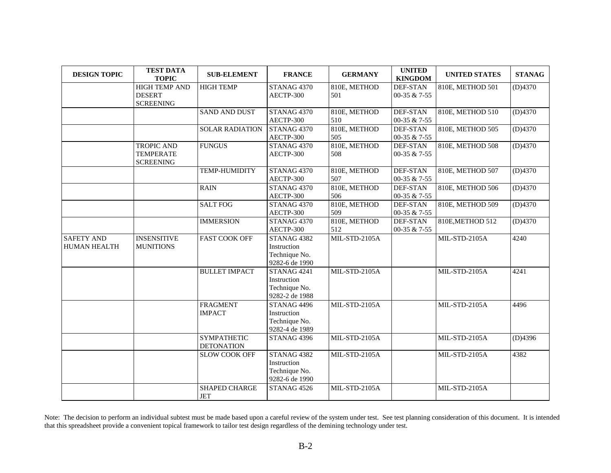| <b>DESIGN TOPIC</b>               | <b>TEST DATA</b><br><b>TOPIC</b>                          | <b>SUB-ELEMENT</b>                      | <b>FRANCE</b>                                                 | <b>GERMANY</b>       | <b>UNITED</b><br><b>KINGDOM</b> | <b>UNITED STATES</b> | <b>STANAG</b> |
|-----------------------------------|-----------------------------------------------------------|-----------------------------------------|---------------------------------------------------------------|----------------------|---------------------------------|----------------------|---------------|
|                                   | <b>HIGH TEMP AND</b><br><b>DESERT</b><br><b>SCREENING</b> | <b>HIGH TEMP</b>                        | STANAG 4370<br>AECTP-300                                      | 810E, METHOD<br>501  | <b>DEF-STAN</b><br>00-35 & 7-55 | 810E, METHOD 501     | (D)4370       |
|                                   |                                                           | <b>SAND AND DUST</b>                    | STANAG 4370<br>AECTP-300                                      | 810E, METHOD<br>510  | <b>DEF-STAN</b><br>00-35 & 7-55 | 810E, METHOD 510     | (D)4370       |
|                                   |                                                           | <b>SOLAR RADIATION</b>                  | STANAG 4370<br>AECTP-300                                      | 810E, METHOD<br>505  | <b>DEF-STAN</b><br>00-35 & 7-55 | 810E, METHOD 505     | (D)4370       |
|                                   | <b>TROPIC AND</b><br><b>TEMPERATE</b><br><b>SCREENING</b> | <b>FUNGUS</b>                           | STANAG 4370<br>AECTP-300                                      | 810E, METHOD<br>508  | DEF-STAN<br>00-35 & 7-55        | 810E, METHOD 508     | (D)4370       |
|                                   |                                                           | <b>TEMP-HUMIDITY</b>                    | STANAG 4370<br>AECTP-300                                      | 810E, METHOD<br>507  | <b>DEF-STAN</b><br>00-35 & 7-55 | 810E, METHOD 507     | (D)4370       |
|                                   |                                                           | <b>RAIN</b>                             | STANAG 4370<br>AECTP-300                                      | 810E, METHOD<br>506  | <b>DEF-STAN</b><br>00-35 & 7-55 | 810E, METHOD 506     | (D)4370       |
|                                   |                                                           | <b>SALT FOG</b>                         | STANAG 4370<br>AECTP-300                                      | 810E, METHOD<br>509  | <b>DEF-STAN</b><br>00-35 & 7-55 | 810E, METHOD 509     | (D)4370       |
|                                   |                                                           | <b>IMMERSION</b>                        | STANAG 4370<br>AECTP-300                                      | 810E, METHOD<br>512  | <b>DEF-STAN</b><br>00-35 & 7-55 | 810E, METHOD 512     | (D)4370       |
| <b>SAFETY AND</b><br>HUMAN HEALTH | <b>INSENSITIVE</b><br><b>MUNITIONS</b>                    | <b>FAST COOK OFF</b>                    | STANAG 4382<br>Instruction<br>Technique No.<br>9282-6 de 1990 | MIL-STD-2105A        |                                 | MIL-STD-2105A        | 4240          |
|                                   |                                                           | <b>BULLET IMPACT</b>                    | STANAG 4241<br>Instruction<br>Technique No.<br>9282-2 de 1988 | MIL-STD-2105A        |                                 | MIL-STD-2105A        | 4241          |
|                                   |                                                           | <b>FRAGMENT</b><br><b>IMPACT</b>        | STANAG 4496<br>Instruction<br>Technique No.<br>9282-4 de 1989 | MIL-STD-2105A        |                                 | MIL-STD-2105A        | 4496          |
|                                   |                                                           | <b>SYMPATHETIC</b><br><b>DETONATION</b> | STANAG 4396                                                   | <b>MIL-STD-2105A</b> |                                 | MIL-STD-2105A        | (D)4396       |
|                                   |                                                           | <b>SLOW COOK OFF</b>                    | STANAG 4382<br>Instruction<br>Technique No.<br>9282-6 de 1990 | MIL-STD-2105A        |                                 | <b>MIL-STD-2105A</b> | 4382          |
|                                   |                                                           | SHAPED CHARGE<br>$\operatorname{JET}$   | STANAG 4526                                                   | MIL-STD-2105A        |                                 | MIL-STD-2105A        |               |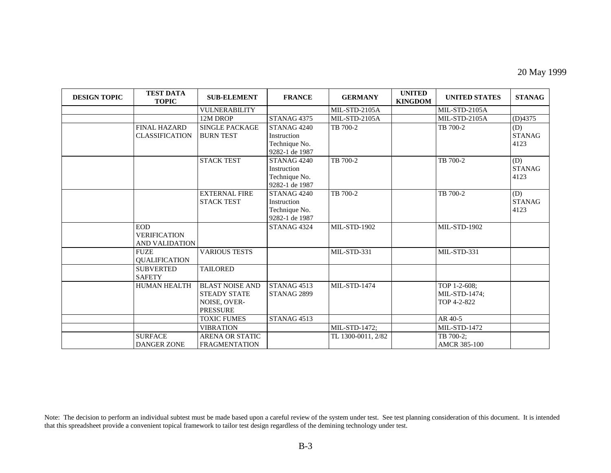#### 20 May 1999

| <b>DESIGN TOPIC</b> | <b>TEST DATA</b><br><b>TOPIC</b>                    | <b>SUB-ELEMENT</b>                                                                      | <b>FRANCE</b>                                                            | <b>GERMANY</b>      | <b>UNITED</b><br><b>KINGDOM</b> | <b>UNITED STATES</b>                         | <b>STANAG</b>                |
|---------------------|-----------------------------------------------------|-----------------------------------------------------------------------------------------|--------------------------------------------------------------------------|---------------------|---------------------------------|----------------------------------------------|------------------------------|
|                     |                                                     | <b>VULNERABILITY</b>                                                                    |                                                                          | MIL-STD-2105A       |                                 | MIL-STD-2105A                                |                              |
|                     |                                                     | 12M DROP                                                                                | STANAG <sub>4375</sub>                                                   | MIL-STD-2105A       |                                 | MIL-STD-2105A                                | (D)4375                      |
|                     | <b>FINAL HAZARD</b><br><b>CLASSIFICATION</b>        | <b>SINGLE PACKAGE</b><br><b>BURN TEST</b>                                               | STANAG <sub>4240</sub><br>Instruction<br>Technique No.<br>9282-1 de 1987 | TB 700-2            |                                 | TB 700-2                                     | (D)<br><b>STANAG</b><br>4123 |
|                     |                                                     | <b>STACK TEST</b>                                                                       | STANAG <sub>4240</sub><br>Instruction<br>Technique No.<br>9282-1 de 1987 | TB 700-2            |                                 | TB 700-2                                     | (D)<br><b>STANAG</b><br>4123 |
|                     |                                                     | <b>EXTERNAL FIRE</b><br><b>STACK TEST</b>                                               | STANAG <sub>4240</sub><br>Instruction<br>Technique No.<br>9282-1 de 1987 | TB 700-2            |                                 | TB 700-2                                     | (D)<br><b>STANAG</b><br>4123 |
|                     | <b>EOD</b><br><b>VERIFICATION</b><br>AND VALIDATION |                                                                                         | STANAG 4324                                                              | <b>MIL-STD-1902</b> |                                 | <b>MIL-STD-1902</b>                          |                              |
|                     | <b>FUZE</b><br><b>QUALIFICATION</b>                 | <b>VARIOUS TESTS</b>                                                                    |                                                                          | MIL-STD-331         |                                 | MIL-STD-331                                  |                              |
|                     | <b>SUBVERTED</b><br><b>SAFETY</b>                   | <b>TAILORED</b>                                                                         |                                                                          |                     |                                 |                                              |                              |
|                     | <b>HUMAN HEALTH</b>                                 | <b>BLAST NOISE AND</b><br><b>STEADY STATE</b><br><b>NOISE, OVER-</b><br><b>PRESSURE</b> | STANAG <sub>4513</sub><br>STANAG 2899                                    | <b>MIL-STD-1474</b> |                                 | TOP 1-2-608;<br>MIL-STD-1474;<br>TOP 4-2-822 |                              |
|                     |                                                     | <b>TOXIC FUMES</b>                                                                      | STANAG <sub>4513</sub>                                                   |                     |                                 | AR 40-5                                      |                              |
|                     |                                                     | <b>VIBRATION</b>                                                                        |                                                                          | MIL-STD-1472;       |                                 | <b>MIL-STD-1472</b>                          |                              |
|                     | <b>SURFACE</b><br><b>DANGER ZONE</b>                | <b>ARENA OR STATIC</b><br><b>FRAGMENTATION</b>                                          |                                                                          | TL 1300-0011, 2/82  |                                 | TB 700-2;<br><b>AMCR 385-100</b>             |                              |

Note: The decision to perform an individual subtest must be made based upon a careful review of the system under test. See test planning consideration of this document. It is intended that this spreadsheet provide a convenient topical framework to tailor test design regardless of the demining technology under test.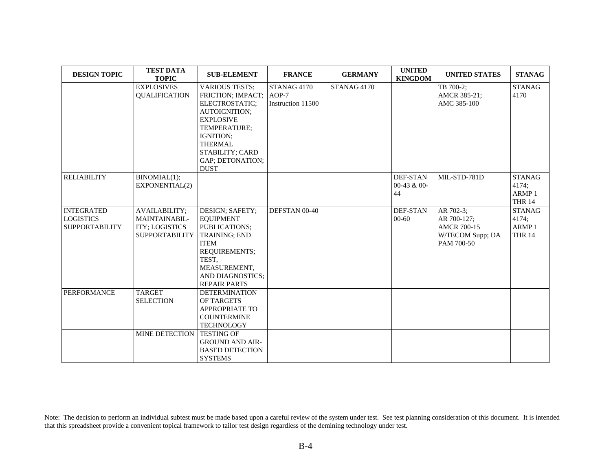| <b>DESIGN TOPIC</b>                                            | <b>TEST DATA</b><br><b>TOPIC</b>                                                 | <b>SUB-ELEMENT</b>                                                                                                                                                                                                         | <b>FRANCE</b>                    | <b>GERMANY</b> | <b>UNITED</b><br><b>KINGDOM</b>          | <b>UNITED STATES</b>                                                             | <b>STANAG</b>                                                |
|----------------------------------------------------------------|----------------------------------------------------------------------------------|----------------------------------------------------------------------------------------------------------------------------------------------------------------------------------------------------------------------------|----------------------------------|----------------|------------------------------------------|----------------------------------------------------------------------------------|--------------------------------------------------------------|
|                                                                | <b>EXPLOSIVES</b><br><b>QUALIFICATION</b>                                        | <b>VARIOUS TESTS;</b><br>FRICTION; IMPACT; AOP-7<br>ELECTROSTATIC;<br><b>AUTOIGNITION:</b><br><b>EXPLOSIVE</b><br>TEMPERATURE;<br>IGNITION:<br><b>THERMAL</b><br><b>STABILITY; CARD</b><br>GAP; DETONATION;<br><b>DUST</b> | STANAG 4170<br>Instruction 11500 | STANAG 4170    |                                          | TB 700-2;<br>AMCR 385-21;<br>AMC 385-100                                         | <b>STANAG</b><br>4170                                        |
| <b>RELIABILITY</b>                                             | BINOMIAL(1);<br>EXPONENTIAL(2)                                                   |                                                                                                                                                                                                                            |                                  |                | <b>DEF-STAN</b><br>$00-43$ & $00-$<br>44 | MIL-STD-781D                                                                     | <b>STANAG</b><br>4174:<br>ARMP <sub>1</sub><br><b>THR 14</b> |
| <b>INTEGRATED</b><br><b>LOGISTICS</b><br><b>SUPPORTABILITY</b> | <b>AVAILABILITY;</b><br>MAINTAINABIL-<br>ITY; LOGISTICS<br><b>SUPPORTABILITY</b> | DESIGN; SAFETY;<br><b>EQUIPMENT</b><br>PUBLICATIONS;<br>TRAINING; END<br><b>ITEM</b><br>REQUIREMENTS;<br>TEST,<br>MEASUREMENT,<br><b>AND DIAGNOSTICS:</b><br><b>REPAIR PARTS</b>                                           | DEFSTAN 00-40                    |                | DEF-STAN<br>$00 - 60$                    | AR 702-3;<br>AR 700-127;<br><b>AMCR 700-15</b><br>W/TECOM Supp; DA<br>PAM 700-50 | <b>STANAG</b><br>4174;<br>ARMP <sub>1</sub><br><b>THR 14</b> |
| <b>PERFORMANCE</b>                                             | <b>TARGET</b><br><b>SELECTION</b>                                                | <b>DETERMINATION</b><br>OF TARGETS<br><b>APPROPRIATE TO</b><br><b>COUNTERMINE</b><br><b>TECHNOLOGY</b>                                                                                                                     |                                  |                |                                          |                                                                                  |                                                              |
|                                                                | MINE DETECTION TESTING OF                                                        | <b>GROUND AND AIR-</b><br><b>BASED DETECTION</b><br><b>SYSTEMS</b>                                                                                                                                                         |                                  |                |                                          |                                                                                  |                                                              |

Note: The decision to perform an individual subtest must be made based upon a careful review of the system under test. See test planning consideration of this document. It is intended that this spreadsheet provide a convenient topical framework to tailor test design regardless of the demining technology under test.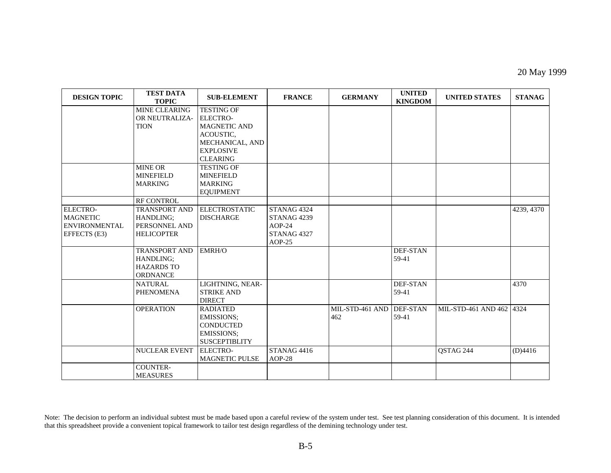#### 20 May 1999

| <b>DESIGN TOPIC</b>                                                        | <b>TEST DATA</b><br><b>TOPIC</b>                                                      | <b>SUB-ELEMENT</b>                                                                                                                 | <b>FRANCE</b>                                                                           | <b>GERMANY</b>         | <b>UNITED</b><br><b>KINGDOM</b> | <b>UNITED STATES</b>     | <b>STANAG</b> |
|----------------------------------------------------------------------------|---------------------------------------------------------------------------------------|------------------------------------------------------------------------------------------------------------------------------------|-----------------------------------------------------------------------------------------|------------------------|---------------------------------|--------------------------|---------------|
|                                                                            | <b>MINE CLEARING</b><br>OR NEUTRALIZA-<br><b>TION</b>                                 | <b>TESTING OF</b><br><b>ELECTRO-</b><br><b>MAGNETIC AND</b><br>ACOUSTIC,<br>MECHANICAL, AND<br><b>EXPLOSIVE</b><br><b>CLEARING</b> |                                                                                         |                        |                                 |                          |               |
|                                                                            | <b>MINE OR</b><br><b>MINEFIELD</b><br><b>MARKING</b>                                  | <b>TESTING OF</b><br><b>MINEFIELD</b><br><b>MARKING</b><br><b>EQUIPMENT</b>                                                        |                                                                                         |                        |                                 |                          |               |
| <b>ELECTRO-</b><br><b>MAGNETIC</b><br><b>ENVIRONMENTAL</b><br>EFFECTS (E3) | RF CONTROL<br><b>TRANSPORT AND</b><br>HANDLING;<br>PERSONNEL AND<br><b>HELICOPTER</b> | <b>ELECTROSTATIC</b><br><b>DISCHARGE</b>                                                                                           | STANAG 4324<br>STANAG <sub>4239</sub><br>$AOP-24$<br>STANAG <sub>4327</sub><br>$AOP-25$ |                        |                                 |                          | 4239, 4370    |
|                                                                            | <b>TRANSPORT AND</b><br>HANDLING;<br><b>HAZARDS TO</b><br>ORDNANCE                    | EMRH/O                                                                                                                             |                                                                                         |                        | <b>DEF-STAN</b><br>59-41        |                          |               |
|                                                                            | <b>NATURAL</b><br><b>PHENOMENA</b>                                                    | LIGHTNING, NEAR-<br><b>STRIKE AND</b><br><b>DIRECT</b>                                                                             |                                                                                         |                        | <b>DEF-STAN</b><br>59-41        |                          | 4370          |
|                                                                            | <b>OPERATION</b>                                                                      | <b>RADIATED</b><br><b>EMISSIONS:</b><br><b>CONDUCTED</b><br>EMISSIONS;<br><b>SUSCEPTIBLITY</b>                                     |                                                                                         | MIL-STD-461 AND<br>462 | <b>DEF-STAN</b><br>59-41        | MIL-STD-461 AND 462 4324 |               |
|                                                                            | <b>NUCLEAR EVENT</b>                                                                  | <b>ELECTRO-</b><br><b>MAGNETIC PULSE</b>                                                                                           | STANAG <sub>4416</sub><br>$AOP-28$                                                      |                        |                                 | QSTAG 244                | (D)4416       |
|                                                                            | COUNTER-<br><b>MEASURES</b>                                                           |                                                                                                                                    |                                                                                         |                        |                                 |                          |               |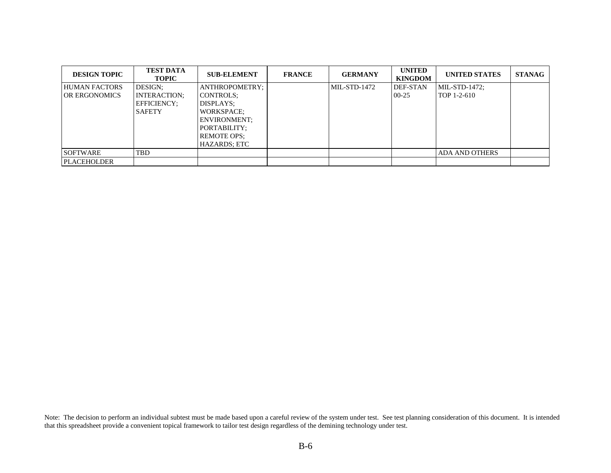| <b>DESIGN TOPIC</b>  | <b>TEST DATA</b><br><b>TOPIC</b> | <b>SUB-ELEMENT</b>  | <b>FRANCE</b> | <b>GERMANY</b> | <b>UNITED</b><br><b>KINGDOM</b> | <b>UNITED STATES</b>  | <b>STANAG</b> |
|----------------------|----------------------------------|---------------------|---------------|----------------|---------------------------------|-----------------------|---------------|
| <b>HUMAN FACTORS</b> | DESIGN:                          | ANTHROPOMETRY;      |               | MIL-STD-1472   | DEF-STAN                        | MIL-STD-1472;         |               |
| OR ERGONOMICS        | <b>INTERACTION:</b>              | CONTROLS:           |               |                | $00 - 25$                       | TOP 1-2-610           |               |
|                      | EFFICIENCY:                      | DISPLAYS:           |               |                |                                 |                       |               |
|                      | <b>SAFETY</b>                    | <b>WORKSPACE:</b>   |               |                |                                 |                       |               |
|                      |                                  | <b>ENVIRONMENT:</b> |               |                |                                 |                       |               |
|                      |                                  | PORTABILITY:        |               |                |                                 |                       |               |
|                      |                                  | <b>REMOTE OPS:</b>  |               |                |                                 |                       |               |
|                      |                                  | HAZARDS: ETC        |               |                |                                 |                       |               |
| <b>SOFTWARE</b>      | <b>TBD</b>                       |                     |               |                |                                 | <b>ADA AND OTHERS</b> |               |
| <b>PLACEHOLDER</b>   |                                  |                     |               |                |                                 |                       |               |